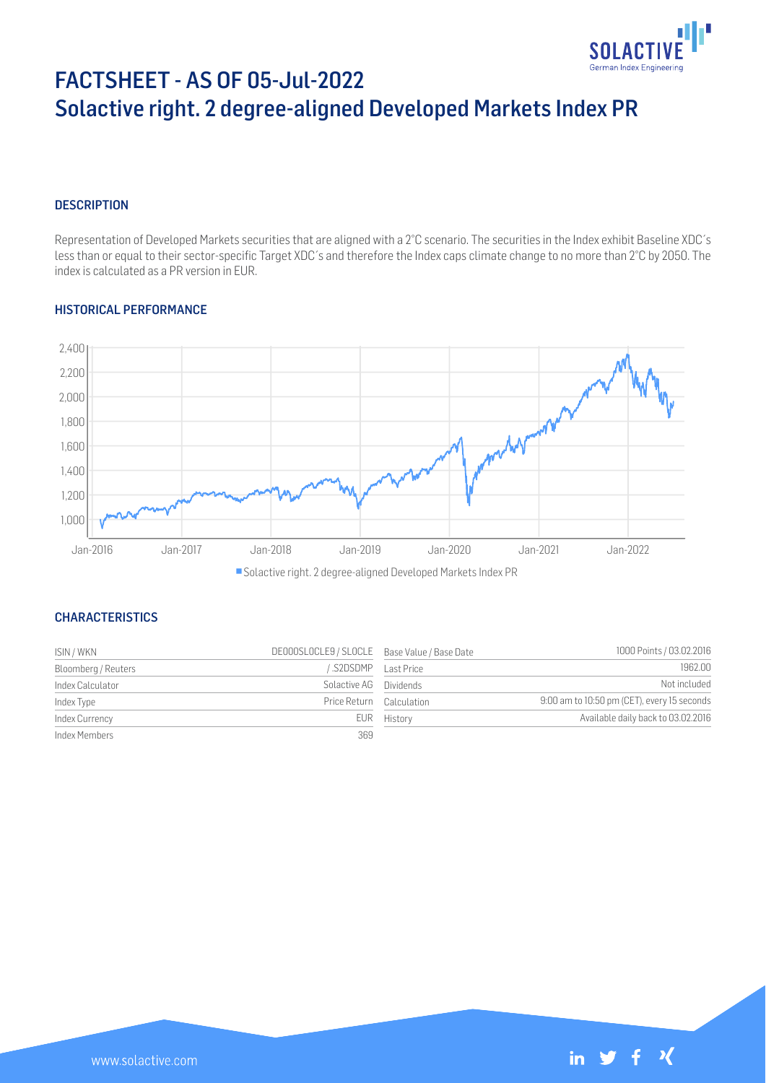

# FACTSHEET - AS OF 05-Jul-2022 Solactive right. 2 degree-aligned Developed Markets Index PR

## **DESCRIPTION**

Representation of Developed Markets securities that are aligned with a 2°C scenario. The securities in the Index exhibit Baseline XDC´s less than or equal to their sector-specific Target XDC´s and therefore the Index caps climate change to no more than 2°C by 2050. The index is calculated as a PR version in EUR.

## HISTORICAL PERFORMANCE



Solactive right. 2 degree-aligned Developed Markets Index PR

## **CHARACTERISTICS**

| ISIN / WKN          | DE000SLOCLE9 / SLOCLE Base Value / Base Date |                    | 1000 Points / 03.02.2016                    |
|---------------------|----------------------------------------------|--------------------|---------------------------------------------|
| Bloomberg / Reuters |                                              | S2DSDMP Last Price | 1962.00                                     |
| Index Calculator    | Solactive AG Dividends                       |                    | Not included                                |
| Index Type          | Price Return Calculation                     |                    | 9:00 am to 10:50 pm (CET), every 15 seconds |
| Index Currency      |                                              | EUR History        | Available daily back to 03.02.2016          |
| Index Members       | 369                                          |                    |                                             |

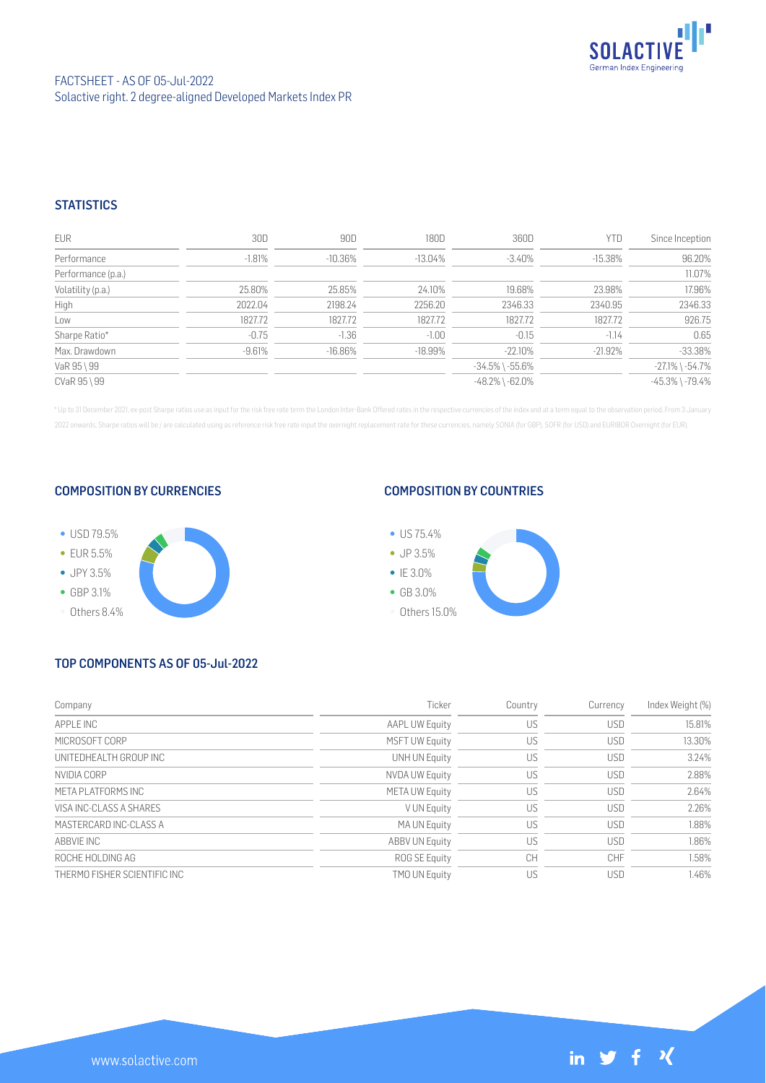

## **STATISTICS**

| <b>EUR</b>         | 30D      | 90D        | 180D       | 360D                  | <b>YTD</b> | Since Inception       |
|--------------------|----------|------------|------------|-----------------------|------------|-----------------------|
| Performance        | $-1.81%$ | $-10.36\%$ | $-13.04\%$ | $-3.40\%$             | $-15.38\%$ | 96.20%                |
| Performance (p.a.) |          |            |            |                       |            | 11.07%                |
| Volatility (p.a.)  | 25.80%   | 25.85%     | 24.10%     | 19.68%                | 23.98%     | 17.96%                |
| High               | 2022.04  | 2198.24    | 2256.20    | 2346.33               | 2340.95    | 2346.33               |
| Low                | 1827.72  | 1827.72    | 1827.72    | 1827.72               | 1827.72    | 926.75                |
| Sharpe Ratio*      | $-0.75$  | $-1.36$    | $-1.00$    | $-0.15$               | $-1.14$    | 0.65                  |
| Max. Drawdown      | $-9.61%$ | $-16.86%$  | $-18.99%$  | $-22.10%$             | $-21.92%$  | $-33.38%$             |
| VaR 95 \ 99        |          |            |            | $-34.5\%$ \ $-55.6\%$ |            | $-27.1\%$ \ $-54.7\%$ |
| CVaR 95 \ 99       |          |            |            | $-48.2\%$ \ $-62.0\%$ |            | $-45.3\%$ \ $-79.4\%$ |

\* Up to 31 December 2021, ex-post Sharpe ratios use as input for the risk free rate term the London Inter-Bank Offered rates in the respective currencies of the index and at a term equal to the observation period. From 3 J 2022 onwards, Sharpe ratios will be / are calculated using as reference risk free rate input the overnight replacement rate for these currencies, namely SONIA (for GBP), SOFR (for USD) and EURIBOR Overnight (for EUR).

## COMPOSITION BY CURRENCIES



## COMPOSITION BY COUNTRIES



# TOP COMPONENTS AS OF 05-Jul-2022

| Company                      | Ticker                | Country | Currency   | Index Weight (%) |
|------------------------------|-----------------------|---------|------------|------------------|
| APPI F INC                   | <b>AAPL UW Equity</b> | US      | <b>USD</b> | 15.81%           |
| MICROSOFT CORP               | <b>MSFT UW Equity</b> | US      | <b>USD</b> | 13.30%           |
| UNITEDHEALTH GROUP INC       | UNH UN Equity         | US      | <b>USD</b> | 3.24%            |
| NVIDIA CORP                  | <b>NVDA UW Equity</b> | US      | <b>USD</b> | 2.88%            |
| META PI ATEORMS INC          | <b>META UW Equity</b> | US      | <b>USD</b> | 2.64%            |
| VISA INC-CLASS A SHARES      | V UN Equity           | US      | <b>USD</b> | 2.26%            |
| MASTERCARD INC-CLASS A       | MA UN Equity          | US      | <b>USD</b> | 1.88%            |
| ABBVIE INC                   | <b>ABBV UN Equity</b> | US      | <b>USD</b> | 1.86%            |
| ROCHE HOLDING AG             | ROG SE Equity         | CH      | CHF        | 1.58%            |
| THERMO FISHER SCIENTIFIC INC | <b>TMO UN Equity</b>  | US      | <b>USD</b> | 1.46%            |